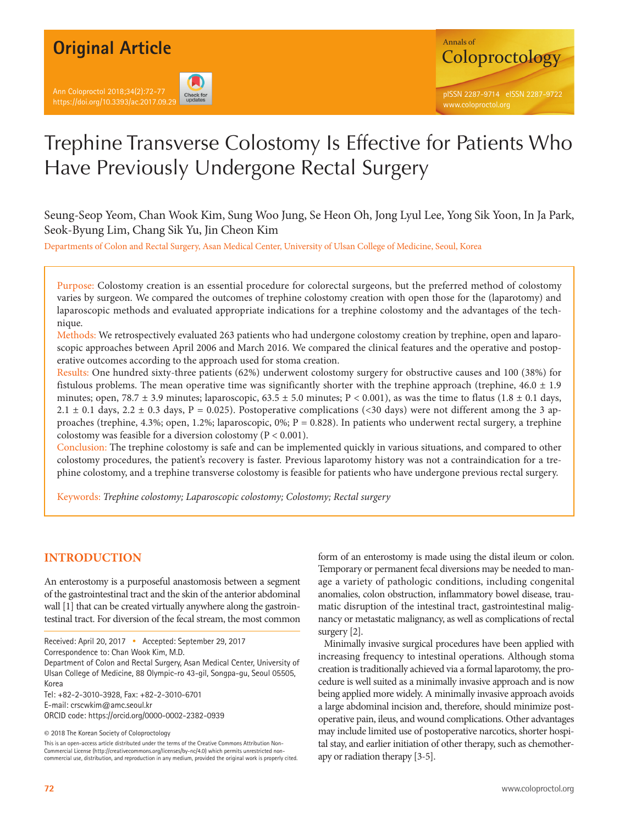## **Original Article**

Ann Coloproctol 2018;34(2):72-77





# Trephine Transverse Colostomy Is Effective for Patients Who Have Previously Undergone Rectal Surgery

Seung-Seop Yeom, Chan Wook Kim, Sung Woo Jung, Se Heon Oh, Jong Lyul Lee, Yong Sik Yoon, In Ja Park, Seok-Byung Lim, Chang Sik Yu, Jin Cheon Kim

Departments of Colon and Rectal Surgery, Asan Medical Center, University of Ulsan College of Medicine, Seoul, Korea

Purpose: Colostomy creation is an essential procedure for colorectal surgeons, but the preferred method of colostomy varies by surgeon. We compared the outcomes of trephine colostomy creation with open those for the (laparotomy) and laparoscopic methods and evaluated appropriate indications for a trephine colostomy and the advantages of the technique.

Methods: We retrospectively evaluated 263 patients who had undergone colostomy creation by trephine, open and laparoscopic approaches between April 2006 and March 2016. We compared the clinical features and the operative and postoperative outcomes according to the approach used for stoma creation.

Results: One hundred sixty-three patients (62%) underwent colostomy surgery for obstructive causes and 100 (38%) for fistulous problems. The mean operative time was significantly shorter with the trephine approach (trephine,  $46.0 \pm 1.9$ ) minutes; open, 78.7  $\pm$  3.9 minutes; laparoscopic, 63.5  $\pm$  5.0 minutes; P < 0.001), as was the time to flatus (1.8  $\pm$  0.1 days, 2.1  $\pm$  0.1 days, 2.2  $\pm$  0.3 days, P = 0.025). Postoperative complications (<30 days) were not different among the 3 approaches (trephine, 4.3%; open, 1.2%; laparoscopic, 0%;  $P = 0.828$ ). In patients who underwent rectal surgery, a trephine colostomy was feasible for a diversion colostomy ( $P < 0.001$ ).

Conclusion: The trephine colostomy is safe and can be implemented quickly in various situations, and compared to other colostomy procedures, the patient's recovery is faster. Previous laparotomy history was not a contraindication for a trephine colostomy, and a trephine transverse colostomy is feasible for patients who have undergone previous rectal surgery.

Keywords: *Trephine colostomy; Laparoscopic colostomy; Colostomy; Rectal surgery*

## **INTRODUCTION**

An enterostomy is a purposeful anastomosis between a segment of the gastrointestinal tract and the skin of the anterior abdominal wall [1] that can be created virtually anywhere along the gastrointestinal tract. For diversion of the fecal stream, the most common

Received: April 20, 2017 • Accepted: September 29, 2017

Correspondence to: Chan Wook Kim, M.D.

Department of Colon and Rectal Surgery, Asan Medical Center, University of Ulsan College of Medicine, 88 Olympic-ro 43-gil, Songpa-gu, Seoul 05505, Korea

Tel: +82-2-3010-3928, Fax: +82-2-3010-6701

E-mail: crscwkim@amc.seoul.kr

ORCID code: https://orcid.org/0000-0002-2382-0939

© 2018 The Korean Society of Coloproctology

This is an open-access article distributed under the terms of the Creative Commons Attribution Non-Commercial License (http://creativecommons.org/licenses/by-nc/4.0) which permits unrestricted noncommercial use, distribution, and reproduction in any medium, provided the original work is properly cited. form of an enterostomy is made using the distal ileum or colon. Temporary or permanent fecal diversions may be needed to manage a variety of pathologic conditions, including congenital anomalies, colon obstruction, inflammatory bowel disease, traumatic disruption of the intestinal tract, gastrointestinal malignancy or metastatic malignancy, as well as complications of rectal surgery [2].

Minimally invasive surgical procedures have been applied with increasing frequency to intestinal operations. Although stoma creation is traditionally achieved via a formal laparotomy, the procedure is well suited as a minimally invasive approach and is now being applied more widely. A minimally invasive approach avoids a large abdominal incision and, therefore, should minimize postoperative pain, ileus, and wound complications. Other advantages may include limited use of postoperative narcotics, shorter hospital stay, and earlier initiation of other therapy, such as chemotherapy or radiation therapy [3-5].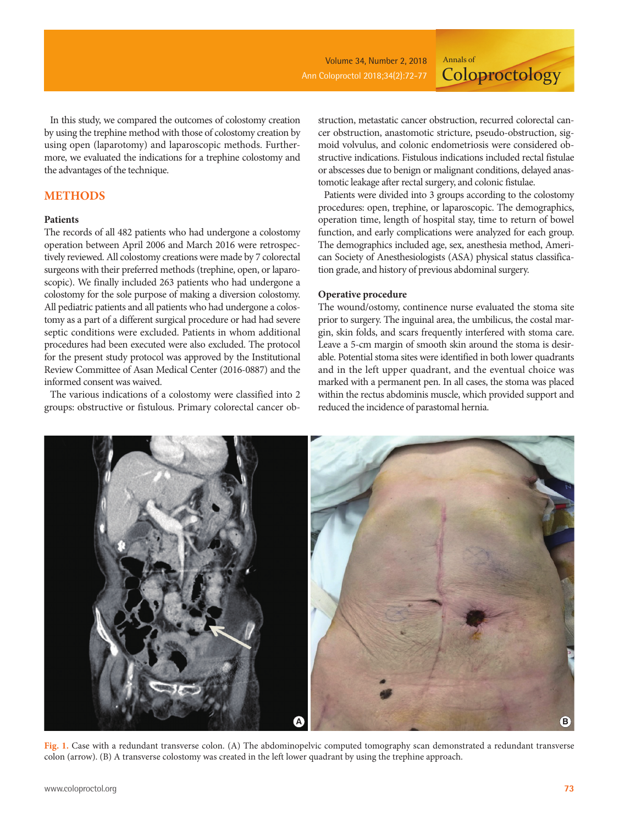**Coloproctology** 

In this study, we compared the outcomes of colostomy creation by using the trephine method with those of colostomy creation by using open (laparotomy) and laparoscopic methods. Furthermore, we evaluated the indications for a trephine colostomy and the advantages of the technique.

## **METHODS**

#### **Patients**

The records of all 482 patients who had undergone a colostomy operation between April 2006 and March 2016 were retrospectively reviewed. All colostomy creations were made by 7 colorectal surgeons with their preferred methods (trephine, open, or laparoscopic). We finally included 263 patients who had undergone a colostomy for the sole purpose of making a diversion colostomy. All pediatric patients and all patients who had undergone a colostomy as a part of a different surgical procedure or had had severe septic conditions were excluded. Patients in whom additional procedures had been executed were also excluded. The protocol for the present study protocol was approved by the Institutional Review Committee of Asan Medical Center (2016-0887) and the informed consent was waived.

The various indications of a colostomy were classified into 2 groups: obstructive or fistulous. Primary colorectal cancer ob-

struction, metastatic cancer obstruction, recurred colorectal cancer obstruction, anastomotic stricture, pseudo-obstruction, sigmoid volvulus, and colonic endometriosis were considered obstructive indications. Fistulous indications included rectal fistulae or abscesses due to benign or malignant conditions, delayed anastomotic leakage after rectal surgery, and colonic fistulae.

Annals of

Patients were divided into 3 groups according to the colostomy procedures: open, trephine, or laparoscopic. The demographics, operation time, length of hospital stay, time to return of bowel function, and early complications were analyzed for each group. The demographics included age, sex, anesthesia method, American Society of Anesthesiologists (ASA) physical status classification grade, and history of previous abdominal surgery.

#### **Operative procedure**

The wound/ostomy, continence nurse evaluated the stoma site prior to surgery. The inguinal area, the umbilicus, the costal margin, skin folds, and scars frequently interfered with stoma care. Leave a 5-cm margin of smooth skin around the stoma is desirable. Potential stoma sites were identified in both lower quadrants and in the left upper quadrant, and the eventual choice was marked with a permanent pen. In all cases, the stoma was placed within the rectus abdominis muscle, which provided support and reduced the incidence of parastomal hernia.



**Fig. 1.** Case with a redundant transverse colon. (A) The abdominopelvic computed tomography scan demonstrated a redundant transverse colon (arrow). (B) A transverse colostomy was created in the left lower quadrant by using the trephine approach.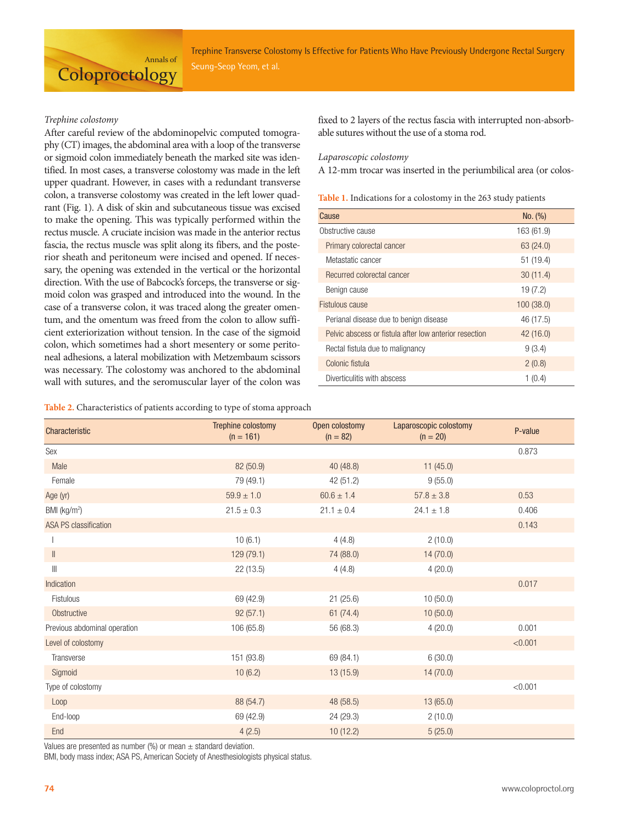Trephine Transverse Colostomy Is Effective for Patients Who Have Previously Undergone Rectal Surgery

#### *Trephine colostomy*

**Coloproctology** 

After careful review of the abdominopelvic computed tomography (CT) images, the abdominal area with a loop of the transverse or sigmoid colon immediately beneath the marked site was identified. In most cases, a transverse colostomy was made in the left upper quadrant. However, in cases with a redundant transverse colon, a transverse colostomy was created in the left lower quadrant (Fig. 1). A disk of skin and subcutaneous tissue was excised to make the opening. This was typically performed within the rectus muscle. A cruciate incision was made in the anterior rectus fascia, the rectus muscle was split along its fibers, and the posterior sheath and peritoneum were incised and opened. If necessary, the opening was extended in the vertical or the horizontal direction. With the use of Babcock's forceps, the transverse or sigmoid colon was grasped and introduced into the wound. In the case of a transverse colon, it was traced along the greater omentum, and the omentum was freed from the colon to allow sufficient exteriorization without tension. In the case of the sigmoid colon, which sometimes had a short mesentery or some peritoneal adhesions, a lateral mobilization with Metzembaum scissors was necessary. The colostomy was anchored to the abdominal wall with sutures, and the seromuscular layer of the colon was

Annals of

fixed to 2 layers of the rectus fascia with interrupted non-absorbable sutures without the use of a stoma rod.

#### *Laparoscopic colostomy*

A 12-mm trocar was inserted in the periumbilical area (or colos-

**Table 1.** Indications for a colostomy in the 263 study patients

| Cause                                                  | No. (%)    |
|--------------------------------------------------------|------------|
| Obstructive cause                                      | 163 (61.9) |
| Primary colorectal cancer                              | 63 (24.0)  |
| Metastatic cancer                                      | 51 (19.4)  |
| Recurred colorectal cancer                             | 30(11.4)   |
| Benign cause                                           | 19(7.2)    |
| Fistulous cause                                        | 100(38.0)  |
| Perianal disease due to benign disease                 | 46 (17.5)  |
| Pelvic abscess or fistula after low anterior resection | 42(16.0)   |
| Rectal fistula due to malignancy                       | 9(3.4)     |
| Colonic fistula                                        | 2(0.8)     |
| Diverticulitis with abscess                            | 1(0.4)     |

**Table 2.** Characteristics of patients according to type of stoma approach

| Characteristic               | Trephine colostomy<br>$(n = 161)$ | Open colostomy<br>$(n = 82)$ | Laparoscopic colostomy<br>$(n = 20)$ | P-value |
|------------------------------|-----------------------------------|------------------------------|--------------------------------------|---------|
| Sex                          |                                   |                              |                                      | 0.873   |
| Male                         | 82 (50.9)                         | 40 (48.8)                    | 11(45.0)                             |         |
| Female                       | 79 (49.1)                         | 42 (51.2)                    | 9(55.0)                              |         |
| Age (yr)                     | $59.9 \pm 1.0$                    | $60.6 \pm 1.4$               | $57.8 \pm 3.8$                       | 0.53    |
| BMI (kg/m <sup>2</sup> )     | $21.5 \pm 0.3$                    | $21.1 \pm 0.4$               | $24.1 \pm 1.8$                       | 0.406   |
| <b>ASA PS classification</b> |                                   |                              |                                      | 0.143   |
|                              | 10(6.1)                           | 4(4.8)                       | 2(10.0)                              |         |
| $\parallel$                  | 129 (79.1)                        | 74 (88.0)                    | 14(70.0)                             |         |
| $\parallel$                  | 22 (13.5)                         | 4(4.8)                       | 4(20.0)                              |         |
| Indication                   |                                   |                              |                                      | 0.017   |
| Fistulous                    | 69 (42.9)                         | 21(25.6)                     | 10(50.0)                             |         |
| Obstructive                  | 92(57.1)                          | 61(74.4)                     | 10(50.0)                             |         |
| Previous abdominal operation | 106 (65.8)                        | 56 (68.3)                    | 4(20.0)                              | 0.001   |
| Level of colostomy           |                                   |                              |                                      | < 0.001 |
| Transverse                   | 151 (93.8)                        | 69 (84.1)                    | 6(30.0)                              |         |
| Sigmoid                      | 10(6.2)                           | 13 (15.9)                    | 14(70.0)                             |         |
| Type of colostomy            |                                   |                              |                                      | < 0.001 |
| Loop                         | 88 (54.7)                         | 48 (58.5)                    | 13(65.0)                             |         |
| End-loop                     | 69 (42.9)                         | 24 (29.3)                    | 2(10.0)                              |         |
| End                          | 4(2.5)                            | 10(12.2)                     | 5(25.0)                              |         |

Values are presented as number (%) or mean  $\pm$  standard deviation.

BMI, body mass index; ASA PS, American Society of Anesthesiologists physical status.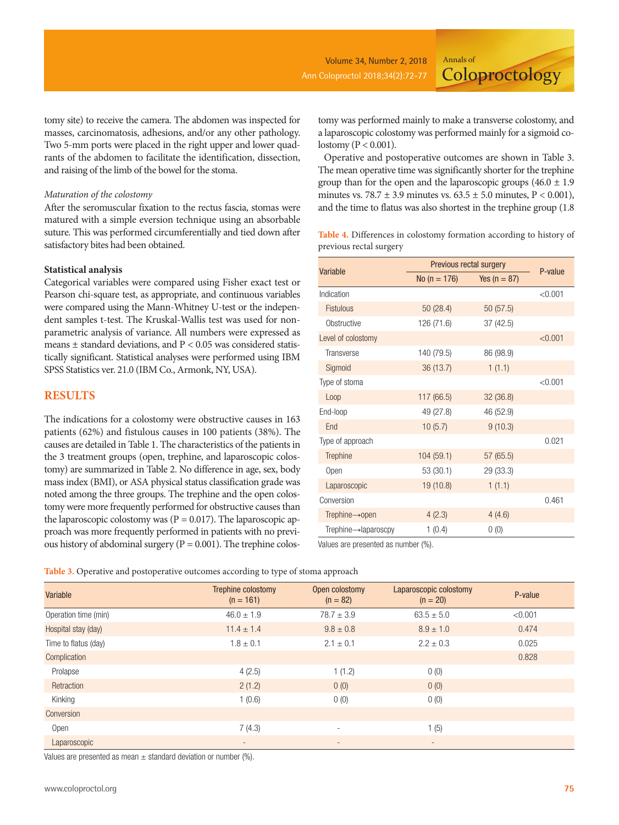**Coloproctology** 

tomy site) to receive the camera. The abdomen was inspected for masses, carcinomatosis, adhesions, and/or any other pathology. Two 5-mm ports were placed in the right upper and lower quadrants of the abdomen to facilitate the identification, dissection, and raising of the limb of the bowel for the stoma.

#### *Maturation of the colostomy*

After the seromuscular fixation to the rectus fascia, stomas were matured with a simple eversion technique using an absorbable suture. This was performed circumferentially and tied down after satisfactory bites had been obtained.

#### **Statistical analysis**

Categorical variables were compared using Fisher exact test or Pearson chi-square test, as appropriate, and continuous variables were compared using the Mann-Whitney U-test or the independent samples t-test. The Kruskal-Wallis test was used for nonparametric analysis of variance. All numbers were expressed as means ± standard deviations, and P < 0.05 was considered statistically significant. Statistical analyses were performed using IBM SPSS Statistics ver. 21.0 (IBM Co., Armonk, NY, USA).

#### **RESULTS**

The indications for a colostomy were obstructive causes in 163 patients (62%) and fistulous causes in 100 patients (38%). The causes are detailed in Table 1. The characteristics of the patients in the 3 treatment groups (open, trephine, and laparoscopic colostomy) are summarized in Table 2. No difference in age, sex, body mass index (BMI), or ASA physical status classification grade was noted among the three groups. The trephine and the open colostomy were more frequently performed for obstructive causes than the laparoscopic colostomy was  $(P = 0.017)$ . The laparoscopic approach was more frequently performed in patients with no previous history of abdominal surgery ( $P = 0.001$ ). The trephine colostomy was performed mainly to make a transverse colostomy, and a laparoscopic colostomy was performed mainly for a sigmoid colostomy ( $P < 0.001$ ).

Annals of

Operative and postoperative outcomes are shown in Table 3. The mean operative time was significantly shorter for the trephine group than for the open and the laparoscopic groups  $(46.0 \pm 1.9)$ minutes vs. 78.7  $\pm$  3.9 minutes vs. 63.5  $\pm$  5.0 minutes, P < 0.001), and the time to flatus was also shortest in the trephine group (1.8

**Table 4.** Differences in colostomy formation according to history of previous rectal surgery

| Variable                           | Previous rectal surgery | P-value          |         |
|------------------------------------|-------------------------|------------------|---------|
|                                    | No $(n = 176)$          | Yes ( $n = 87$ ) |         |
| Indication                         |                         |                  | < 0.001 |
| <b>Fistulous</b>                   | 50(28.4)                | 50(57.5)         |         |
| Obstructive                        | 126 (71.6)              | 37(42.5)         |         |
| Level of colostomy                 |                         |                  | < 0.001 |
| Transverse                         | 140 (79.5)              | 86 (98.9)        |         |
| Sigmoid                            | 36 (13.7)               | 1(1.1)           |         |
| Type of stoma                      |                         |                  | < 0.001 |
| Loop                               | 117 (66.5)              | 32(36.8)         |         |
| End-loop                           | 49 (27.8)               | 46 (52.9)        |         |
| End                                | 10(5.7)                 | 9(10.3)          |         |
| Type of approach                   |                         |                  | 0.021   |
| Trephine                           | 104 (59.1)              | 57 (65.5)        |         |
| Open                               | 53 (30.1)               | 29 (33.3)        |         |
| Laparoscopic                       | 19 (10.8)               | 1(1.1)           |         |
| Conversion                         |                         |                  | 0.461   |
| Trephine $\rightarrow$ open        | 4(2.3)                  | 4(4.6)           |         |
| $Trephine \rightarrow laparoscopy$ | 1(0.4)                  | 0(0)             |         |

Values are presented as number (%).

|  | Table 3. Operative and postoperative outcomes according to type of stoma approach |  |  |
|--|-----------------------------------------------------------------------------------|--|--|
|  |                                                                                   |  |  |

| Variable             | Trephine colostomy<br>$(n = 161)$ | Open colostomy<br>$(n = 82)$ | Laparoscopic colostomy<br>$(n = 20)$ | P-value |
|----------------------|-----------------------------------|------------------------------|--------------------------------------|---------|
| Operation time (min) | $46.0 \pm 1.9$                    | $78.7 \pm 3.9$               | $63.5 \pm 5.0$                       | < 0.001 |
| Hospital stay (day)  | $11.4 \pm 1.4$                    | $9.8 \pm 0.8$                | $8.9 \pm 1.0$                        | 0.474   |
| Time to flatus (day) | $1.8 \pm 0.1$                     | $2.1 \pm 0.1$                | $2.2 \pm 0.3$                        | 0.025   |
| Complication         |                                   |                              |                                      | 0.828   |
| Prolapse             | 4(2.5)                            | 1(1.2)                       | 0(0)                                 |         |
| Retraction           | 2(1.2)                            | 0(0)                         | 0(0)                                 |         |
| Kinking              | 1(0.6)                            | 0(0)                         | 0(0)                                 |         |
| Conversion           |                                   |                              |                                      |         |
| Open                 | 7(4.3)                            |                              | 1(5)                                 |         |
| Laparoscopic         | $\overline{\phantom{a}}$          | $\overline{\phantom{a}}$     | $\overline{\phantom{a}}$             |         |

Values are presented as mean  $\pm$  standard deviation or number (%).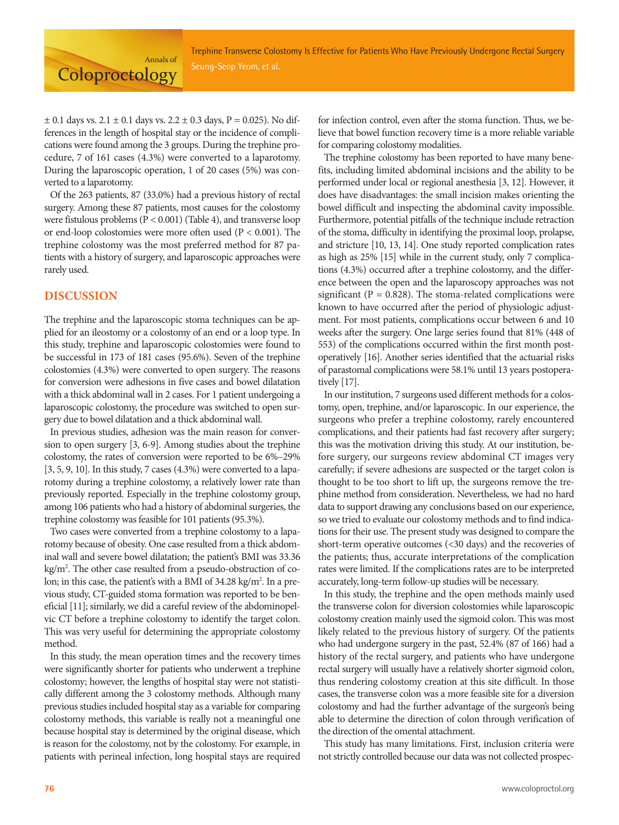Annals of **Coloproctology** 

 $\pm$  0.1 days vs. 2.1  $\pm$  0.1 days vs. 2.2  $\pm$  0.3 days, P = 0.025). No differences in the length of hospital stay or the incidence of complications were found among the 3 groups. During the trephine procedure, 7 of 161 cases (4.3%) were converted to a laparotomy. During the laparoscopic operation, 1 of 20 cases (5%) was converted to a laparotomy.

Of the 263 patients, 87 (33.0%) had a previous history of rectal surgery. Among these 87 patients, most causes for the colostomy were fistulous problems (P < 0.001) (Table 4), and transverse loop or end-loop colostomies were more often used (P < 0.001). The trephine colostomy was the most preferred method for 87 patients with a history of surgery, and laparoscopic approaches were rarely used.

## **DISCUSSION**

The trephine and the laparoscopic stoma techniques can be applied for an ileostomy or a colostomy of an end or a loop type. In this study, trephine and laparoscopic colostomies were found to be successful in 173 of 181 cases (95.6%). Seven of the trephine colostomies (4.3%) were converted to open surgery. The reasons for conversion were adhesions in five cases and bowel dilatation with a thick abdominal wall in 2 cases. For 1 patient undergoing a laparoscopic colostomy, the procedure was switched to open surgery due to bowel dilatation and a thick abdominal wall.

In previous studies, adhesion was the main reason for conversion to open surgery [3, 6-9]. Among studies about the trephine colostomy, the rates of conversion were reported to be 6%–29%  $[3, 5, 9, 10]$ . In this study, 7 cases  $(4.3%)$  were converted to a laparotomy during a trephine colostomy, a relatively lower rate than previously reported. Especially in the trephine colostomy group, among 106 patients who had a history of abdominal surgeries, the trephine colostomy was feasible for 101 patients (95.3%).

Two cases were converted from a trephine colostomy to a laparotomy because of obesity. One case resulted from a thick abdominal wall and severe bowel dilatation; the patient's BMI was 33.36 kg/m<sup>2</sup>. The other case resulted from a pseudo-obstruction of colon; in this case, the patient's with a BMI of 34.28 kg/m<sup>2</sup>. In a previous study, CT-guided stoma formation was reported to be beneficial [11]; similarly, we did a careful review of the abdominopelvic CT before a trephine colostomy to identify the target colon. This was very useful for determining the appropriate colostomy method.

In this study, the mean operation times and the recovery times were significantly shorter for patients who underwent a trephine colostomy; however, the lengths of hospital stay were not statistically different among the 3 colostomy methods. Although many previous studies included hospital stay as a variable for comparing colostomy methods, this variable is really not a meaningful one because hospital stay is determined by the original disease, which is reason for the colostomy, not by the colostomy. For example, in patients with perineal infection, long hospital stays are required

for infection control, even after the stoma function. Thus, we believe that bowel function recovery time is a more reliable variable for comparing colostomy modalities.

The trephine colostomy has been reported to have many benefits, including limited abdominal incisions and the ability to be performed under local or regional anesthesia [3, 12]. However, it does have disadvantages: the small incision makes orienting the bowel difficult and inspecting the abdominal cavity impossible. Furthermore, potential pitfalls of the technique include retraction of the stoma, difficulty in identifying the proximal loop, prolapse, and stricture [10, 13, 14]. One study reported complication rates as high as 25% [15] while in the current study, only 7 complications (4.3%) occurred after a trephine colostomy, and the difference between the open and the laparoscopy approaches was not significant ( $P = 0.828$ ). The stoma-related complications were known to have occurred after the period of physiologic adjustment. For most patients, complications occur between 6 and 10 weeks after the surgery. One large series found that 81% (448 of 553) of the complications occurred within the first month postoperatively [16]. Another series identified that the actuarial risks of parastomal complications were 58.1% until 13 years postoperatively [17].

In our institution, 7 surgeons used different methods for a colostomy, open, trephine, and/or laparoscopic. In our experience, the surgeons who prefer a trephine colostomy, rarely encountered complications, and their patients had fast recovery after surgery; this was the motivation driving this study. At our institution, before surgery, our surgeons review abdominal CT images very carefully; if severe adhesions are suspected or the target colon is thought to be too short to lift up, the surgeons remove the trephine method from consideration. Nevertheless, we had no hard data to support drawing any conclusions based on our experience, so we tried to evaluate our colostomy methods and to find indications for their use. The present study was designed to compare the short-term operative outcomes (<30 days) and the recoveries of the patients; thus, accurate interpretations of the complication rates were limited. If the complications rates are to be interpreted accurately, long-term follow-up studies will be necessary.

In this study, the trephine and the open methods mainly used the transverse colon for diversion colostomies while laparoscopic colostomy creation mainly used the sigmoid colon. This was most likely related to the previous history of surgery. Of the patients who had undergone surgery in the past, 52.4% (87 of 166) had a history of the rectal surgery, and patients who have undergone rectal surgery will usually have a relatively shorter sigmoid colon, thus rendering colostomy creation at this site difficult. In those cases, the transverse colon was a more feasible site for a diversion colostomy and had the further advantage of the surgeon's being able to determine the direction of colon through verification of the direction of the omental attachment.

This study has many limitations. First, inclusion criteria were not strictly controlled because our data was not collected prospec-